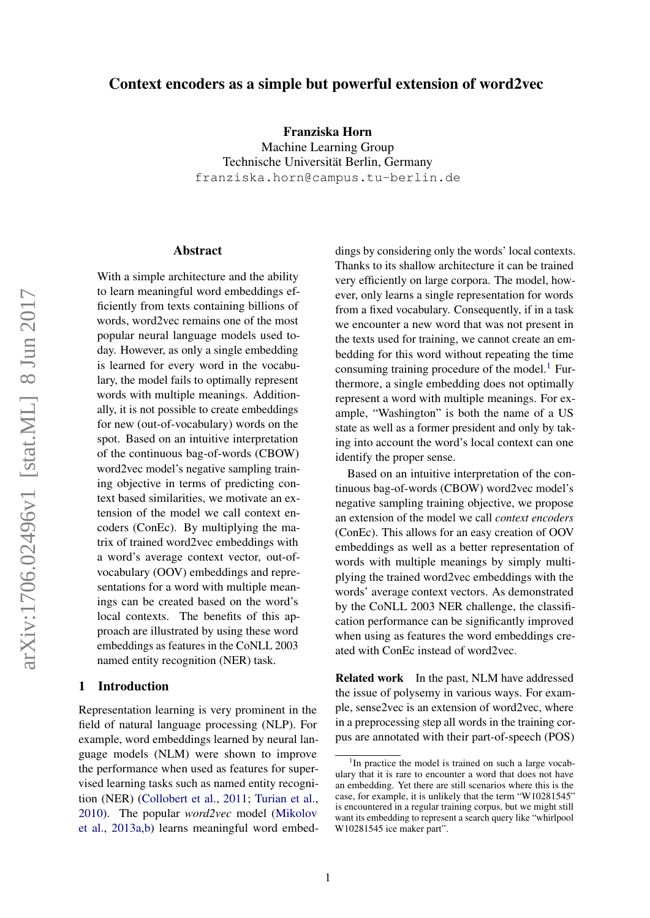# Context encoders as a simple but powerful extension of word2vec

Franziska Horn

Machine Learning Group Technische Universität Berlin, Germany franziska.horn@campus.tu-berlin.de

#### Abstract

With a simple architecture and the ability to learn meaningful word embeddings efficiently from texts containing billions of words, word2vec remains one of the most popular neural language models used today. However, as only a single embedding is learned for every word in the vocabulary, the model fails to optimally represent words with multiple meanings. Additionally, it is not possible to create embeddings for new (out-of-vocabulary) words on the spot. Based on an intuitive interpretation of the continuous bag-of-words (CBOW) word2vec model's negative sampling training objective in terms of predicting context based similarities, we motivate an extension of the model we call context encoders (ConEc). By multiplying the matrix of trained word2vec embeddings with a word's average context vector, out-ofvocabulary (OOV) embeddings and representations for a word with multiple meanings can be created based on the word's local contexts. The benefits of this approach are illustrated by using these word embeddings as features in the CoNLL 2003 named entity recognition (NER) task.

## 1 Introduction

Representation learning is very prominent in the field of natural language processing (NLP). For example, word embeddings learned by neural language models (NLM) were shown to improve the performance when used as features for supervised learning tasks such as named entity recognition (NER) [\(Collobert et al.,](#page-4-0) [2011;](#page-4-0) [Turian et al.,](#page-5-0) [2010\)](#page-5-0). The popular *word2vec* model [\(Mikolov](#page-4-1) [et al.,](#page-4-1) [2013a](#page-4-1)[,b\)](#page-4-2) learns meaningful word embed-

dings by considering only the words' local contexts. Thanks to its shallow architecture it can be trained very efficiently on large corpora. The model, however, only learns a single representation for words from a fixed vocabulary. Consequently, if in a task we encounter a new word that was not present in the texts used for training, we cannot create an embedding for this word without repeating the time consuming training procedure of the model. $<sup>1</sup>$  $<sup>1</sup>$  $<sup>1</sup>$  Fur-</sup> thermore, a single embedding does not optimally represent a word with multiple meanings. For example, "Washington" is both the name of a US state as well as a former president and only by taking into account the word's local context can one identify the proper sense.

Based on an intuitive interpretation of the continuous bag-of-words (CBOW) word2vec model's negative sampling training objective, we propose an extension of the model we call *context encoders* (ConEc). This allows for an easy creation of OOV embeddings as well as a better representation of words with multiple meanings by simply multiplying the trained word2vec embeddings with the words' average context vectors. As demonstrated by the CoNLL 2003 NER challenge, the classification performance can be significantly improved when using as features the word embeddings created with ConEc instead of word2vec.

Related work In the past, NLM have addressed the issue of polysemy in various ways. For example, sense2vec is an extension of word2vec, where in a preprocessing step all words in the training corpus are annotated with their part-of-speech (POS)

<span id="page-0-0"></span><sup>&</sup>lt;sup>1</sup>In practice the model is trained on such a large vocabulary that it is rare to encounter a word that does not have an embedding. Yet there are still scenarios where this is the case, for example, it is unlikely that the term "W10281545" is encountered in a regular training corpus, but we might still want its embedding to represent a search query like "whirlpool W10281545 ice maker part".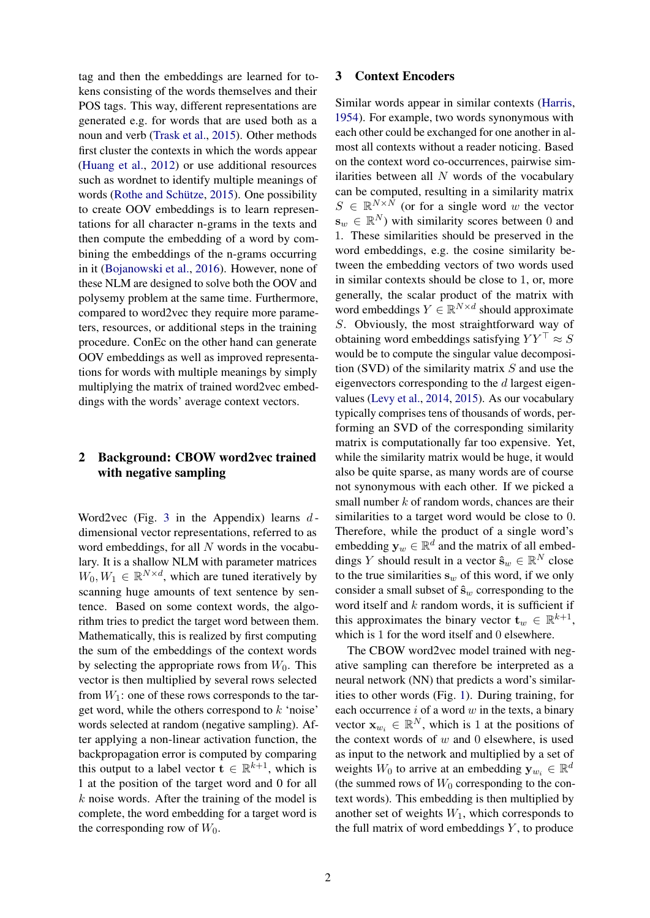tag and then the embeddings are learned for tokens consisting of the words themselves and their POS tags. This way, different representations are generated e.g. for words that are used both as a noun and verb [\(Trask et al.,](#page-5-1) [2015\)](#page-5-1). Other methods first cluster the contexts in which the words appear [\(Huang et al.,](#page-4-3) [2012\)](#page-4-3) or use additional resources such as wordnet to identify multiple meanings of words [\(Rothe and Schütze,](#page-4-4) [2015\)](#page-4-4). One possibility to create OOV embeddings is to learn representations for all character n-grams in the texts and then compute the embedding of a word by combining the embeddings of the n-grams occurring in it [\(Bojanowski et al.,](#page-4-5) [2016\)](#page-4-5). However, none of these NLM are designed to solve both the OOV and polysemy problem at the same time. Furthermore, compared to word2vec they require more parameters, resources, or additional steps in the training procedure. ConEc on the other hand can generate OOV embeddings as well as improved representations for words with multiple meanings by simply multiplying the matrix of trained word2vec embeddings with the words' average context vectors.

# 2 Background: CBOW word2vec trained with negative sampling

Word2vec (Fig. [3](#page-6-0) in the Appendix) learns  $d$ dimensional vector representations, referred to as word embeddings, for all  $N$  words in the vocabulary. It is a shallow NLM with parameter matrices  $W_0, W_1 \in \mathbb{R}^{N \times d}$ , which are tuned iteratively by scanning huge amounts of text sentence by sentence. Based on some context words, the algorithm tries to predict the target word between them. Mathematically, this is realized by first computing the sum of the embeddings of the context words by selecting the appropriate rows from  $W_0$ . This vector is then multiplied by several rows selected from  $W_1$ : one of these rows corresponds to the target word, while the others correspond to  $k$  'noise' words selected at random (negative sampling). After applying a non-linear activation function, the backpropagation error is computed by comparing this output to a label vector  $\mathbf{t} \in \mathbb{R}^{k+1}$ , which is 1 at the position of the target word and 0 for all  $k$  noise words. After the training of the model is complete, the word embedding for a target word is the corresponding row of  $W_0$ .

#### 3 Context Encoders

Similar words appear in similar contexts [\(Harris,](#page-4-6) [1954\)](#page-4-6). For example, two words synonymous with each other could be exchanged for one another in almost all contexts without a reader noticing. Based on the context word co-occurrences, pairwise similarities between all  $N$  words of the vocabulary can be computed, resulting in a similarity matrix  $S \in \mathbb{R}^{N \times N}$  (or for a single word w the vector  $\mathbf{s}_w \in \mathbb{R}^N$ ) with similarity scores between 0 and 1. These similarities should be preserved in the word embeddings, e.g. the cosine similarity between the embedding vectors of two words used in similar contexts should be close to 1, or, more generally, the scalar product of the matrix with word embeddings  $Y \in \mathbb{R}^{N \times d}$  should approximate S. Obviously, the most straightforward way of obtaining word embeddings satisfying  $YY^{\top} \approx S$ would be to compute the singular value decomposition (SVD) of the similarity matrix  $S$  and use the eigenvectors corresponding to the d largest eigenvalues [\(Levy et al.,](#page-4-7) [2014,](#page-4-7) [2015\)](#page-4-8). As our vocabulary typically comprises tens of thousands of words, performing an SVD of the corresponding similarity matrix is computationally far too expensive. Yet, while the similarity matrix would be huge, it would also be quite sparse, as many words are of course not synonymous with each other. If we picked a small number  $k$  of random words, chances are their similarities to a target word would be close to 0. Therefore, while the product of a single word's embedding  $y_w \in \mathbb{R}^d$  and the matrix of all embeddings Y should result in a vector  $\hat{\mathbf{s}}_w \in \mathbb{R}^N$  close to the true similarities  $s_w$  of this word, if we only consider a small subset of  $\hat{\mathbf{s}}_w$  corresponding to the word itself and  $k$  random words, it is sufficient if this approximates the binary vector  $\mathbf{t}_w \in \mathbb{R}^{k+1}$ , which is 1 for the word itself and 0 elsewhere.

The CBOW word2vec model trained with negative sampling can therefore be interpreted as a neural network (NN) that predicts a word's similarities to other words (Fig. [1\)](#page-2-0). During training, for each occurrence  $i$  of a word  $w$  in the texts, a binary vector  $\mathbf{x}_{w_i} \in \mathbb{R}^N$ , which is 1 at the positions of the context words of  $w$  and  $0$  elsewhere, is used as input to the network and multiplied by a set of weights  $W_0$  to arrive at an embedding  $y_{w_i} \in \mathbb{R}^d$ (the summed rows of  $W_0$  corresponding to the context words). This embedding is then multiplied by another set of weights  $W_1$ , which corresponds to the full matrix of word embeddings  $Y$ , to produce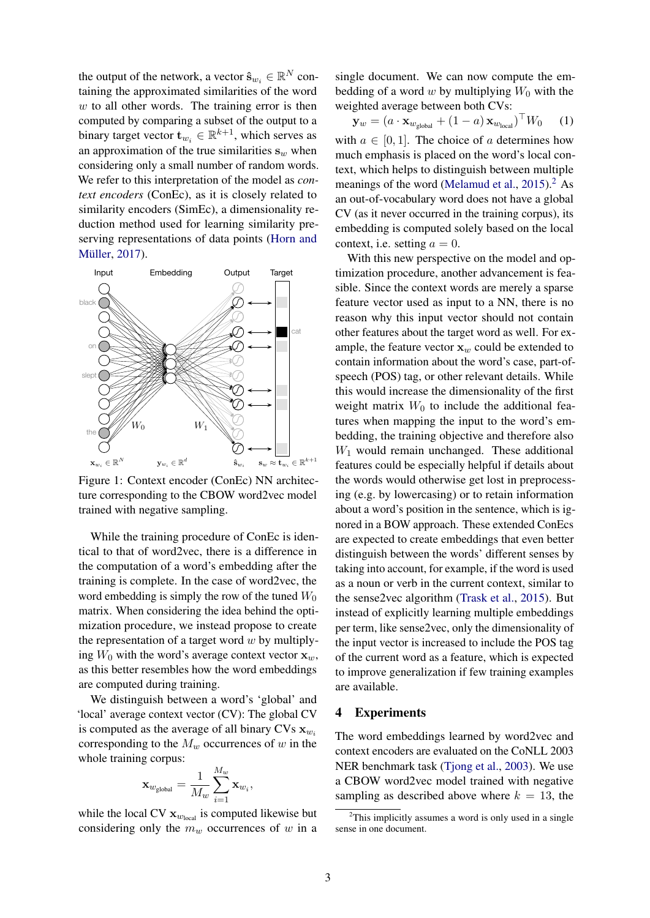the output of the network, a vector  $\hat{\mathbf{s}}_{w_i} \in \mathbb{R}^N$  containing the approximated similarities of the word  $w$  to all other words. The training error is then computed by comparing a subset of the output to a binary target vector  $\mathbf{t}_{w_i} \in \mathbb{R}^{k+1}$ , which serves as an approximation of the true similarities  $s_w$  when considering only a small number of random words. We refer to this interpretation of the model as *context encoders* (ConEc), as it is closely related to similarity encoders (SimEc), a dimensionality reduction method used for learning similarity preserving representations of data points [\(Horn and](#page-4-9) [Müller,](#page-4-9) [2017\)](#page-4-9).

<span id="page-2-0"></span>

Figure 1: Context encoder (ConEc) NN architecture corresponding to the CBOW word2vec model trained with negative sampling.

While the training procedure of ConEc is identical to that of word2vec, there is a difference in the computation of a word's embedding after the training is complete. In the case of word2vec, the word embedding is simply the row of the tuned  $W_0$ matrix. When considering the idea behind the optimization procedure, we instead propose to create the representation of a target word  $w$  by multiplying  $W_0$  with the word's average context vector  $x_w$ , as this better resembles how the word embeddings are computed during training.

We distinguish between a word's 'global' and 'local' average context vector (CV): The global CV is computed as the average of all binary CVs  $\mathbf{x}_{w_i}$ corresponding to the  $M_w$  occurrences of w in the whole training corpus:

$$
\mathbf{x}_{w_{\text{global}}} = \frac{1}{M_w}\sum_{i=1}^{M_w}\mathbf{x}_{w_i}
$$

,

while the local CV  $x_{w_{local}}$  is computed likewise but considering only the  $m_w$  occurrences of w in a

single document. We can now compute the embedding of a word w by multiplying  $W_0$  with the weighted average between both CVs:

<span id="page-2-2"></span>
$$
\mathbf{y}_w = (a \cdot \mathbf{x}_{w_{\text{global}}} + (1 - a) \mathbf{x}_{w_{\text{local}}})^\top W_0 \quad (1)
$$

with  $a \in [0, 1]$ . The choice of a determines how much emphasis is placed on the word's local context, which helps to distinguish between multiple meanings of the word [\(Melamud et al.,](#page-4-10)  $2015$  $2015$ ).<sup>2</sup> As an out-of-vocabulary word does not have a global CV (as it never occurred in the training corpus), its embedding is computed solely based on the local context, i.e. setting  $a = 0$ .

With this new perspective on the model and optimization procedure, another advancement is feasible. Since the context words are merely a sparse feature vector used as input to a NN, there is no reason why this input vector should not contain other features about the target word as well. For example, the feature vector  $x_w$  could be extended to contain information about the word's case, part-ofspeech (POS) tag, or other relevant details. While this would increase the dimensionality of the first weight matrix  $W_0$  to include the additional features when mapping the input to the word's embedding, the training objective and therefore also  $W_1$  would remain unchanged. These additional features could be especially helpful if details about the words would otherwise get lost in preprocessing (e.g. by lowercasing) or to retain information about a word's position in the sentence, which is ignored in a BOW approach. These extended ConEcs are expected to create embeddings that even better distinguish between the words' different senses by taking into account, for example, if the word is used as a noun or verb in the current context, similar to the sense2vec algorithm [\(Trask et al.,](#page-5-1) [2015\)](#page-5-1). But instead of explicitly learning multiple embeddings per term, like sense2vec, only the dimensionality of the input vector is increased to include the POS tag of the current word as a feature, which is expected to improve generalization if few training examples are available.

#### 4 Experiments

The word embeddings learned by word2vec and context encoders are evaluated on the CoNLL 2003 NER benchmark task [\(Tjong et al.,](#page-4-11) [2003\)](#page-4-11). We use a CBOW word2vec model trained with negative sampling as described above where  $k = 13$ , the

<span id="page-2-1"></span> $2$ This implicitly assumes a word is only used in a single sense in one document.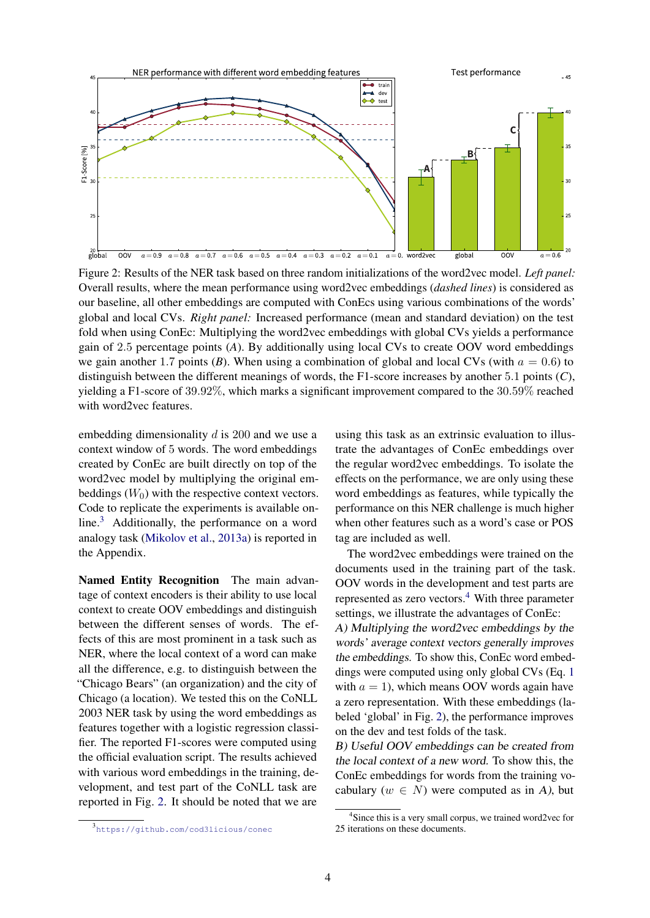<span id="page-3-1"></span>

Figure 2: Results of the NER task based on three random initializations of the word2vec model. *Left panel:* Overall results, where the mean performance using word2vec embeddings (*dashed lines*) is considered as our baseline, all other embeddings are computed with ConEcs using various combinations of the words' global and local CVs. *Right panel:* Increased performance (mean and standard deviation) on the test fold when using ConEc: Multiplying the word2vec embeddings with global CVs yields a performance gain of 2.5 percentage points (*A*). By additionally using local CVs to create OOV word embeddings we gain another 1.7 points (*B*). When using a combination of global and local CVs (with  $a = 0.6$ ) to distinguish between the different meanings of words, the F1-score increases by another 5.1 points (*C*), yielding a F1-score of 39.92%, which marks a significant improvement compared to the 30.59% reached with word2vec features.

embedding dimensionality d is 200 and we use a context window of 5 words. The word embeddings created by ConEc are built directly on top of the word2vec model by multiplying the original embeddings  $(W_0)$  with the respective context vectors. Code to replicate the experiments is available online.[3](#page-3-0) Additionally, the performance on a word analogy task [\(Mikolov et al.,](#page-4-1) [2013a\)](#page-4-1) is reported in the Appendix.

Named Entity Recognition The main advantage of context encoders is their ability to use local context to create OOV embeddings and distinguish between the different senses of words. The effects of this are most prominent in a task such as NER, where the local context of a word can make all the difference, e.g. to distinguish between the "Chicago Bears" (an organization) and the city of Chicago (a location). We tested this on the CoNLL 2003 NER task by using the word embeddings as features together with a logistic regression classifier. The reported F1-scores were computed using the official evaluation script. The results achieved with various word embeddings in the training, development, and test part of the CoNLL task are reported in Fig. [2.](#page-3-1) It should be noted that we are

using this task as an extrinsic evaluation to illustrate the advantages of ConEc embeddings over the regular word2vec embeddings. To isolate the effects on the performance, we are only using these word embeddings as features, while typically the performance on this NER challenge is much higher when other features such as a word's case or POS tag are included as well.

The word2vec embeddings were trained on the documents used in the training part of the task. OOV words in the development and test parts are represented as zero vectors.<sup>[4](#page-3-2)</sup> With three parameter settings, we illustrate the advantages of ConEc: A) Multiplying the word2vec embeddings by the words' average context vectors generally improves

the embeddings. To show this, ConEc word embeddings were computed using only global CVs (Eq. [1](#page-2-2) with  $a = 1$ ), which means OOV words again have a zero representation. With these embeddings (labeled 'global' in Fig. [2\)](#page-3-1), the performance improves on the dev and test folds of the task.

B) Useful OOV embeddings can be created from the local context of a new word. To show this, the ConEc embeddings for words from the training vocabulary ( $w \in N$ ) were computed as in A), but

<span id="page-3-0"></span><sup>3</sup> <https://github.com/cod3licious/conec>

<span id="page-3-2"></span><sup>4</sup> Since this is a very small corpus, we trained word2vec for 25 iterations on these documents.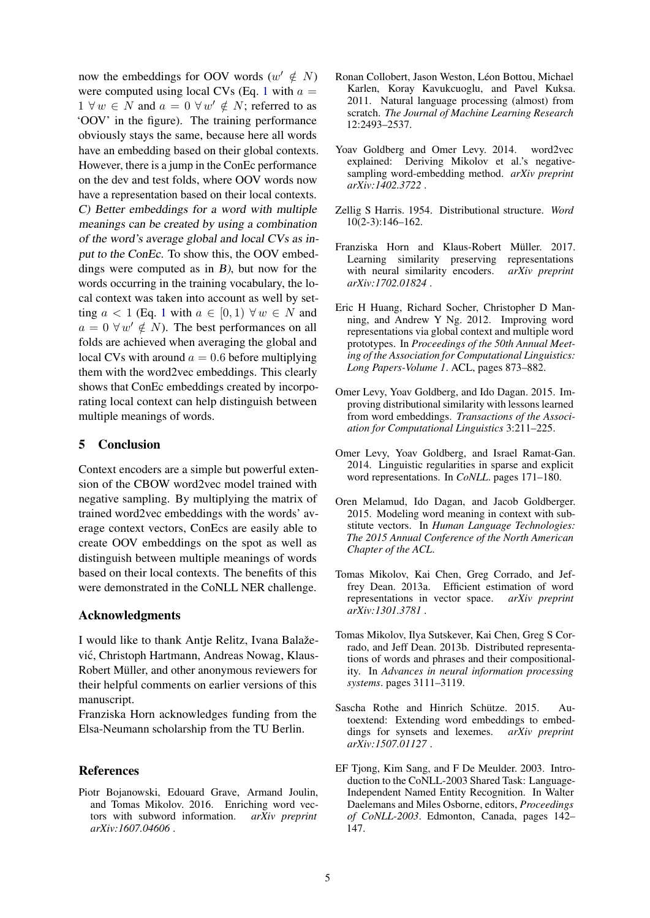now the embeddings for OOV words  $(w' \notin N)$ were computed using local CVs (Eq. [1](#page-2-2) with  $a =$  $1 \forall w \in N$  and  $a = 0 \forall w' \notin N$ ; referred to as 'OOV' in the figure). The training performance obviously stays the same, because here all words have an embedding based on their global contexts. However, there is a jump in the ConEc performance on the dev and test folds, where OOV words now have a representation based on their local contexts. C) Better embeddings for a word with multiple meanings can be created by using a combination of the word's average global and local CVs as input to the ConEc. To show this, the OOV embeddings were computed as in B), but now for the words occurring in the training vocabulary, the local context was taken into account as well by setting  $a < 1$  $a < 1$  (Eq. 1 with  $a \in [0,1)$   $\forall w \in N$  and  $a = 0 \forall w' \notin N$ ). The best performances on all folds are achieved when averaging the global and local CVs with around  $a = 0.6$  before multiplying them with the word2vec embeddings. This clearly shows that ConEc embeddings created by incorporating local context can help distinguish between multiple meanings of words.

### 5 Conclusion

Context encoders are a simple but powerful extension of the CBOW word2vec model trained with negative sampling. By multiplying the matrix of trained word2vec embeddings with the words' average context vectors, ConEcs are easily able to create OOV embeddings on the spot as well as distinguish between multiple meanings of words based on their local contexts. The benefits of this were demonstrated in the CoNLL NER challenge.

#### Acknowledgments

I would like to thank Antje Relitz, Ivana Balaževic, Christoph Hartmann, Andreas Nowag, Klaus- ´ Robert Müller, and other anonymous reviewers for their helpful comments on earlier versions of this manuscript.

Franziska Horn acknowledges funding from the Elsa-Neumann scholarship from the TU Berlin.

### References

<span id="page-4-5"></span>Piotr Bojanowski, Edouard Grave, Armand Joulin, and Tomas Mikolov. 2016. Enriching word vectors with subword information. *arXiv preprint arXiv:1607.04606* .

- <span id="page-4-0"></span>Ronan Collobert, Jason Weston, Léon Bottou, Michael Karlen, Koray Kavukcuoglu, and Pavel Kuksa. 2011. Natural language processing (almost) from scratch. *The Journal of Machine Learning Research* 12:2493–2537.
- <span id="page-4-12"></span>Yoav Goldberg and Omer Levy. 2014. word2vec explained: Deriving Mikolov et al.'s negativesampling word-embedding method. *arXiv preprint arXiv:1402.3722* .
- <span id="page-4-6"></span>Zellig S Harris. 1954. Distributional structure. *Word* 10(2-3):146–162.
- <span id="page-4-9"></span>Franziska Horn and Klaus-Robert Müller. 2017. Learning similarity preserving representations with neural similarity encoders. *arXiv preprint arXiv:1702.01824* .
- <span id="page-4-3"></span>Eric H Huang, Richard Socher, Christopher D Manning, and Andrew Y Ng. 2012. Improving word representations via global context and multiple word prototypes. In *Proceedings of the 50th Annual Meeting of the Association for Computational Linguistics: Long Papers-Volume 1*. ACL, pages 873–882.
- <span id="page-4-8"></span>Omer Levy, Yoav Goldberg, and Ido Dagan. 2015. Improving distributional similarity with lessons learned from word embeddings. *Transactions of the Association for Computational Linguistics* 3:211–225.
- <span id="page-4-7"></span>Omer Levy, Yoav Goldberg, and Israel Ramat-Gan. 2014. Linguistic regularities in sparse and explicit word representations. In *CoNLL*. pages 171–180.
- <span id="page-4-10"></span>Oren Melamud, Ido Dagan, and Jacob Goldberger. 2015. Modeling word meaning in context with substitute vectors. In *Human Language Technologies: The 2015 Annual Conference of the North American Chapter of the ACL*.
- <span id="page-4-1"></span>Tomas Mikolov, Kai Chen, Greg Corrado, and Jeffrey Dean. 2013a. Efficient estimation of word representations in vector space. *arXiv preprint arXiv:1301.3781* .
- <span id="page-4-2"></span>Tomas Mikolov, Ilya Sutskever, Kai Chen, Greg S Corrado, and Jeff Dean. 2013b. Distributed representations of words and phrases and their compositionality. In *Advances in neural information processing systems*. pages 3111–3119.
- <span id="page-4-4"></span>Sascha Rothe and Hinrich Schütze. 2015. Autoextend: Extending word embeddings to embeddings for synsets and lexemes. *arXiv preprint arXiv:1507.01127* .
- <span id="page-4-11"></span>EF Tjong, Kim Sang, and F De Meulder. 2003. Introduction to the CoNLL-2003 Shared Task: Language-Independent Named Entity Recognition. In Walter Daelemans and Miles Osborne, editors, *Proceedings of CoNLL-2003*. Edmonton, Canada, pages 142– 147.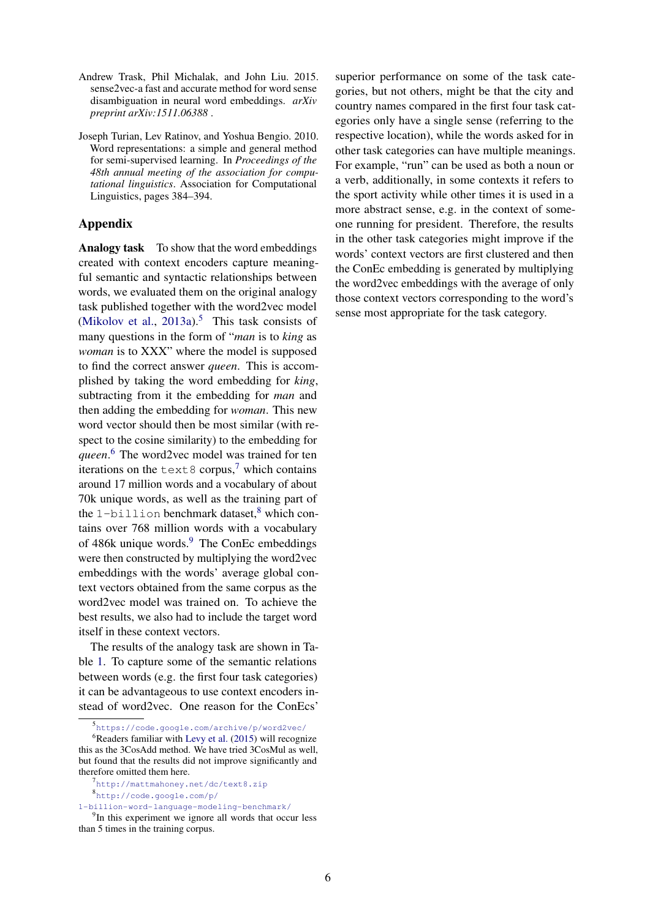- <span id="page-5-1"></span>Andrew Trask, Phil Michalak, and John Liu. 2015. sense2vec-a fast and accurate method for word sense disambiguation in neural word embeddings. *arXiv preprint arXiv:1511.06388* .
- <span id="page-5-0"></span>Joseph Turian, Lev Ratinov, and Yoshua Bengio. 2010. Word representations: a simple and general method for semi-supervised learning. In *Proceedings of the 48th annual meeting of the association for computational linguistics*. Association for Computational Linguistics, pages 384–394.

## Appendix

Analogy task To show that the word embeddings created with context encoders capture meaningful semantic and syntactic relationships between words, we evaluated them on the original analogy task published together with the word2vec model [\(Mikolov et al.,](#page-4-1) [2013a\)](#page-4-1).<sup>[5](#page-5-2)</sup> This task consists of many questions in the form of "*man* is to *king* as *woman* is to XXX" where the model is supposed to find the correct answer *queen*. This is accomplished by taking the word embedding for *king*, subtracting from it the embedding for *man* and then adding the embedding for *woman*. This new word vector should then be most similar (with respect to the cosine similarity) to the embedding for *queen*. [6](#page-5-3) The word2vec model was trained for ten iterations on the  $text{text8}$  corpus,<sup>[7](#page-5-4)</sup> which contains around 17 million words and a vocabulary of about 70k unique words, as well as the training part of the 1-billion benchmark dataset, $8$  which contains over 768 million words with a vocabulary of 486k unique words.<sup>[9](#page-5-6)</sup> The ConEc embeddings were then constructed by multiplying the word2vec embeddings with the words' average global context vectors obtained from the same corpus as the word2vec model was trained on. To achieve the best results, we also had to include the target word itself in these context vectors.

The results of the analogy task are shown in Table [1.](#page-6-1) To capture some of the semantic relations between words (e.g. the first four task categories) it can be advantageous to use context encoders instead of word2vec. One reason for the ConEcs'

superior performance on some of the task categories, but not others, might be that the city and country names compared in the first four task categories only have a single sense (referring to the respective location), while the words asked for in other task categories can have multiple meanings. For example, "run" can be used as both a noun or a verb, additionally, in some contexts it refers to the sport activity while other times it is used in a more abstract sense, e.g. in the context of someone running for president. Therefore, the results in the other task categories might improve if the words' context vectors are first clustered and then the ConEc embedding is generated by multiplying the word2vec embeddings with the average of only those context vectors corresponding to the word's sense most appropriate for the task category.

<span id="page-5-3"></span><span id="page-5-2"></span><sup>5</sup> <https://code.google.com/archive/p/word2vec/>

 $6$ Readers familiar with [Levy et al.](#page-4-8) [\(2015\)](#page-4-8) will recognize this as the 3CosAdd method. We have tried 3CosMul as well, but found that the results did not improve significantly and therefore omitted them here.

<span id="page-5-5"></span><span id="page-5-4"></span><sup>7</sup><http://mattmahoney.net/dc/text8.zip> 8 [http://code.google.com/p/](http://code.google.com/p/1-billion-word-language-modeling-benchmark/)

[<sup>1-</sup>billion-word-language-modeling-benchmark/](http://code.google.com/p/1-billion-word-language-modeling-benchmark/)

<span id="page-5-6"></span><sup>&</sup>lt;sup>9</sup>In this experiment we ignore all words that occur less than 5 times in the training corpus.